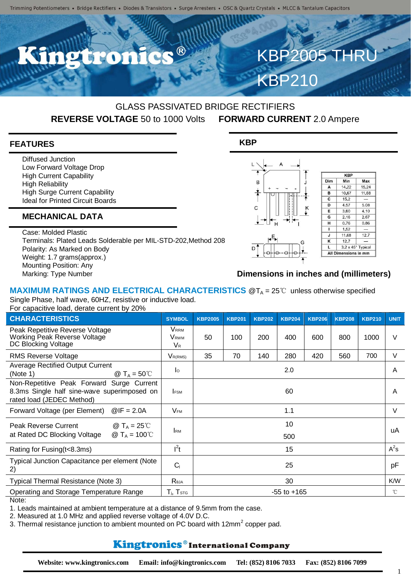## GLASS PASSIVATED BRIDGE RECTIFIERS **REVERSE VOLTAGE** 50 to 1000 Volts **FORWARD CURRENT** 2.0 Ampere

**KBP**

### **FEATURES**

Diffused Junction Low Forward Voltage Drop High Current Capability High Reliability High Surge Current Capability Ideal for Printed Circuit Boards

## **MECHANICAL DATA**

Case: Molded Plastic Terminals: Plated Leads Solderable per MIL-STD-202,Method 208 Polarity: As Marked on Body Weight: 1.7 grams(approx.) Mounting Position: Any Marking: Type Number



KBP2005 T

KBP210

### **Dimensions in inches and (millimeters)**

#### **MAXIMUM RATINGS AND ELECTRICAL CHARACTERISTICS** @T<sub>A</sub> = 25℃ unless otherwise specified Single Phase, half wave, 60HZ, resistive or inductive load.

For capacitive load, derate current by 20%

| <b>CHARACTERISTICS</b>                                                                                                | <b>SYMBOL</b>                                                 | <b>KBP2005</b>  | <b>KBP201</b> | <b>KBP202</b> | <b>KBP204</b> | <b>KBP206</b> | <b>KBP208</b> | <b>KBP210</b> | <b>UNIT</b>  |
|-----------------------------------------------------------------------------------------------------------------------|---------------------------------------------------------------|-----------------|---------------|---------------|---------------|---------------|---------------|---------------|--------------|
| Peak Repetitive Reverse Voltage<br>Working Peak Reverse Voltage<br>DC Blocking Voltage                                | <b>V</b> <sub>RRM</sub><br><b>V</b> <sub>RWM</sub><br>$V_{R}$ | 50              | 100           | 200           | 400           | 600           | 800           | 1000          | $\vee$       |
| <b>RMS Reverse Voltage</b>                                                                                            | $V_{R(RMS)}$                                                  | 35              | 70            | 140           | 280           | 420           | 560           | 700           | V            |
| <b>Average Rectified Output Current</b><br>@ $T_A = 50^{\circ}$ C<br>(Note 1)                                         | $\mathsf{I}^{\circ}$                                          |                 |               |               | 2.0           |               |               |               | A            |
| Non-Repetitive Peak Forward Surge Current<br>8.3ms Single half sine-wave superimposed on<br>rated load (JEDEC Method) | <b>FSM</b>                                                    |                 |               |               | 60            |               |               |               | A            |
| $@IF = 2.0A$<br>Forward Voltage (per Element)                                                                         | $V_{\sf FM}$                                                  | 1.1             |               |               |               |               |               |               | V            |
| <b>Peak Reverse Current</b><br>@ T <sub>A</sub> = 25℃<br>@ T <sub>A</sub> = 100℃<br>at Rated DC Blocking Voltage      | <b>I</b> RM                                                   | 10<br>500       |               |               |               |               |               |               | uA           |
| Rating for Fusing (t<8.3ms)                                                                                           | $l^2t$                                                        | 15              |               |               |               |               |               |               | $A^2s$       |
| Typical Junction Capacitance per element (Note<br>2)                                                                  | $C_i$                                                         |                 |               |               | 25            |               |               |               | pF           |
| Typical Thermal Resistance (Note 3)                                                                                   | Reja                                                          |                 |               |               | 30            |               |               |               | K/W          |
| Operating and Storage Temperature Range                                                                               | $T_{i}$ , $T_{\text{STG}}$                                    | $-55$ to $+165$ |               |               |               |               |               |               | $^{\circ}$ C |

Note:

1. Leads maintained at ambient temperature at a distance of 9.5mm from the case.

2. Measured at 1.0 MHz and applied reverse voltage of 4.0V D.C.

3. Thermal resistance junction to ambient mounted on PC board with 12mm<sup>2</sup> copper pad.

# Kingtronics®International Company

1